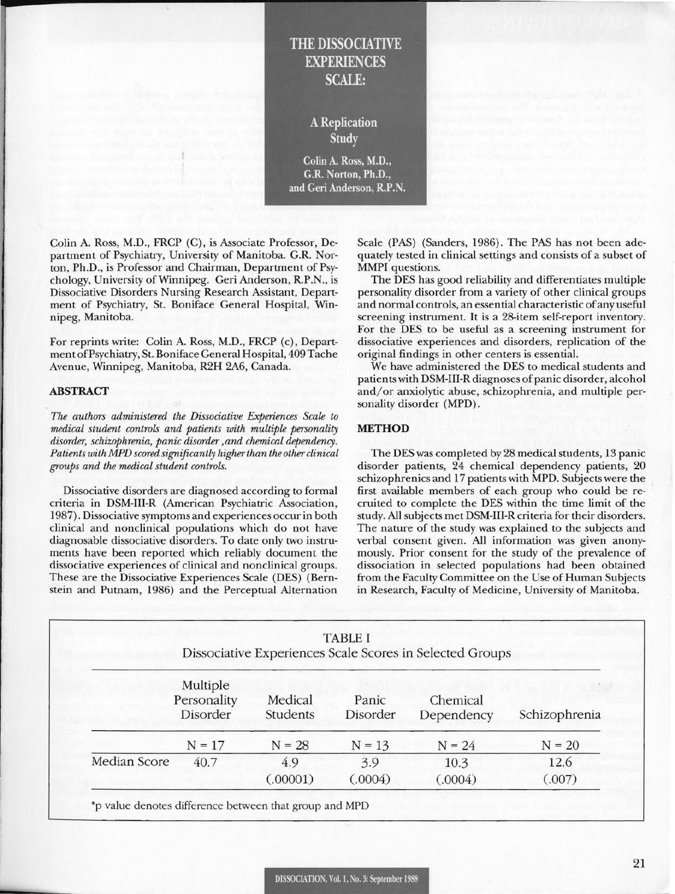# THE DISSOCIATIVE EXPERIENCES SCALE:

A Replication Study

Colin A. Ross, M.D., G.R. Norton, Ph.D., and Geri Anderson, R.P.N.

Colin A. Ross, M.D., FRCP (C), is Associate Professor, Department of Psychiatry, University of Manitoba. G.R. Norton, Ph.D., is Professor and Chairman, Department of Psychology, University of Winnipeg. Geri Anderson, R.P.N., is Dissociative Disorders Nursing Research Assistant, Department of Psychiatry, St. Boniface General Hospital, Winnipeg, Manitoba.

For reprints write: Colin A. Ross, M.D., FRCP (c), Department of Psychiatry, St. Boniface General Hospital, 409 Tache Avenue, Winnipeg, Manitoba, R2H 2A6, Canada.

### ABSTRACT

*The authors administered the Dissociative Experiences Scale to medical student controls and patients with multiple personality disorder, schizophrenia, panic disorder ,and chemical dependency. Patients with MPD scored significantly higher than the other clinical groups and the medical student controls.* 

Dissociative disorders are diagnosed according to formal criteria in DSM-III-R (American Psychiatric Association, 1987). Dissociative symptoms and experiences occur in both clinical and nonclinical populations which do not have diagnosable dissociative disorders. To date only two instruments have been reported which reliably document the dissociative experiences of clinical and nonclinical groups. These are the Dissociative Experiences Scale (DES) (Bernstein and Putnam, 1986) and the Perceptual Alternation

Scale (PAS) (Sanders, 1986). The PAS has not been adequately tested in clinical settings and consists of a subset of MMPI questions.

The DES has good reliability and differentiates multiple personality disorder from a variety of other clinical groups and normal controls, an essential characteristic of any useful screening instrument. It is a 28-item self-report inventory. For the DES to be useful as a screening instrument for dissociative experiences and disorders, replication of the original findings in other centers is essential.

We have administered the DES to medical students and patients with DSM-III-R diagnoses of panic disorder, alcohol and/or anxiolytic abuse, schizophrenia, and multiple personality disorder (MPD).

## **METHOD**

The DES was completed by 28 medical students, 13 panic disorder patients, 24 chemical dependency patients, 20 schizophrenics and 17 patients with MPD. Subjects were the first available members of each group who could be recruited to complete the DES within the time limit of the study. All subjects met DSM-III-R criteria for their disorders. The nature of the study was explained to the subjects and verbal consent given. All information was given anonymously. Prior consent for the study of the prevalence of dissociation in selected populations had been obtained from the Faculty Committee on the Use of Human Subjects in Research, Faculty of Medicine, University of Manitoba.

| <b>TABLE I</b><br>Dissociative Experiences Scale Scores in Selected Groups |                                     |                     |                   |                        |               |
|----------------------------------------------------------------------------|-------------------------------------|---------------------|-------------------|------------------------|---------------|
|                                                                            | Multiple<br>Personality<br>Disorder | Medical<br>Students | Panic<br>Disorder | Chemical<br>Dependency | Schizophrenia |
|                                                                            | $N = 17$                            | $N = 28$            | $N = 13$          | $N = 24$               | $N = 20$      |
| Median Score                                                               | 40.7                                | 4.9                 | 3.9               | 10.3                   | 12.6          |
|                                                                            |                                     | (.00001)            | (.0004)           | (.0004)                | (.007)        |